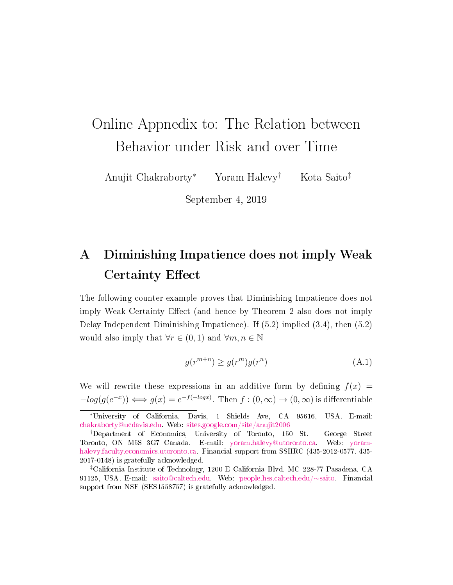# Online Appnedix to: The Relation between Behavior under Risk and over Time

Anujit Chakraborty<sup>∗</sup> Yoram Halevy† Kota Saito‡

September 4, 2019

## A Diminishing Impatience does not imply Weak Certainty Effect

The following counter-example proves that Diminishing Impatience does not imply Weak Certainty Effect (and hence by Theorem 2 also does not imply Delay Independent Diminishing Impatience). If (5.2) implied (3.4), then (5.2) would also imply that  $\forall r \in (0,1)$  and  $\forall m, n \in \mathbb{N}$ 

<span id="page-0-0"></span>
$$
g(r^{m+n}) \ge g(r^m)g(r^n) \tag{A.1}
$$

We will rewrite these expressions in an additive form by defining  $f(x) =$  $-log(g(e^{-x})) \iff g(x) = e^{-f(-\log x)}$ . Then  $f : (0, \infty) \to (0, \infty)$  is differentiable

<sup>∗</sup>University of California, Davis, 1 Shields Ave, CA 95616, USA. E-mail: [chakraborty@ucdavis.edu.](mailto:chakraborty%40ucdavis.edu) Web: [sites.google.com/site/anujit2006](http://sites.google.com/site/anujit2006/)

<sup>†</sup>Department of Economics, University of Toronto, 150 St. George Street Toronto, ON M5S 3G7 Canada. E-mail: [yoram.halevy@utoronto.ca.](mailto:yoram.halevy%40utoronto.ca) Web: [yoram](https://yoram-halevy.faculty.economics.utoronto.ca/)[halevy.faculty.economics.utoronto.ca.](https://yoram-halevy.faculty.economics.utoronto.ca/) Financial support from SSHRC (435-2012-0577, 435- 2017-0148) is gratefully acknowledged.

<sup>‡</sup>California Institute of Technology, 1200 E California Blvd, MC 228-77 Pasadena, CA 91125, USA. E-mail: [saito@caltech.edu.](mailto:saito%40caltech.edu) Web: [people.hss.caltech.edu/](http://people.hss.caltech.edu/~saito)∼saito. Financial support from NSF (SES1558757) is gratefully acknowledged.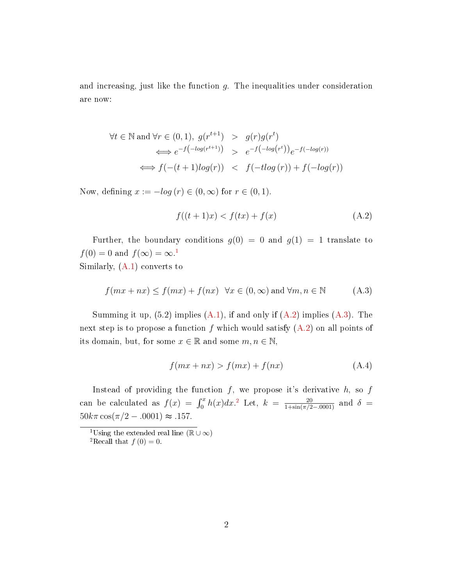and increasing, just like the function g. The inequalities under consideration are now:

$$
\forall t \in \mathbb{N} \text{ and } \forall r \in (0,1), g(r^{t+1}) > g(r)g(r^t)
$$
  

$$
\iff e^{-f(-\log(r^{t+1}))} > e^{-f(-\log(r^t))}e^{-f(-\log(r))}
$$
  

$$
\iff f(-(t+1)\log(r)) < f(-t\log(r)) + f(-\log(r))
$$

Now, defining  $x := -log(r) \in (0, \infty)$  for  $r \in (0, 1)$ .

<span id="page-1-1"></span>
$$
f((t+1)x) < f(tx) + f(x) \tag{A.2}
$$

Further, the boundary conditions  $q(0) = 0$  and  $q(1) = 1$  translate to  $f(0) = 0$  and  $f(\infty) = \infty$ .<sup>[1](#page-1-0)</sup> Similarly, [\(A.1\)](#page-0-0) converts to

<span id="page-1-2"></span>
$$
f(mx + nx) \le f(mx) + f(nx) \quad \forall x \in (0, \infty) \text{ and } \forall m, n \in \mathbb{N} \tag{A.3}
$$

Summing it up,  $(5.2)$  implies  $(A.1)$ , if and only if  $(A.2)$  implies  $(A.3)$ . The next step is to propose a function f which would satisfy  $(A.2)$  on all points of its domain, but, for some  $x \in \mathbb{R}$  and some  $m, n \in \mathbb{N}$ ,

$$
f(mx + nx) > f(mx) + f(nx) \tag{A.4}
$$

Instead of providing the function  $f$ , we propose it's derivative  $h$ , so  $f$ can be calculated as  $f(x) = \int_0^x h(x) dx$ <sup>[2](#page-1-3)</sup> Let,  $k = \frac{20}{1 + \sin(\pi/2 - 0.001)}$  and  $\delta =$  $50k\pi \cos(\pi/2 - .0001) \approx .157.$ 

<span id="page-1-0"></span> $1_{\text{Using the extended real line}}$  ( $\mathbb{R} \cup \infty$ )

<span id="page-1-3"></span><sup>&</sup>lt;sup>2</sup>Recall that  $f(0) = 0$ .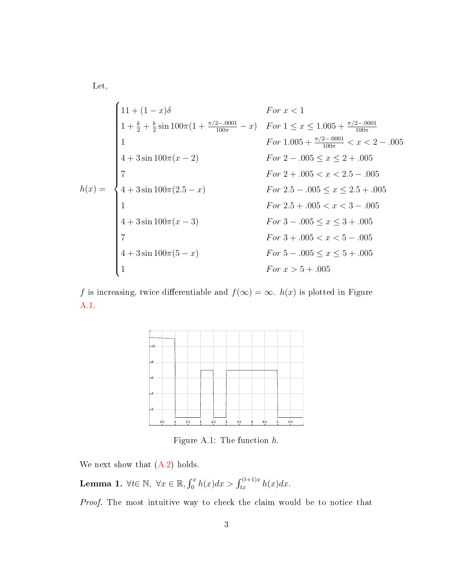Let,

$$
h(x) = \begin{cases} 11 + (1 - x)\delta & For \ x < 1 \\ 1 + \frac{k}{2} + \frac{k}{2} \sin 100\pi (1 + \frac{\pi/2 - 0001}{100\pi} - x) & For \ 1 \le x \le 1.005 + \frac{\pi/2 - 0001}{100\pi} < x < 2 - .005 \\ 1 & For \ 1.005 + \frac{\pi/2 - .0001}{100\pi} < x < 2 - .005 \\ 4 + 3 \sin 100\pi (x - 2) & For \ 2 - .005 \le x \le 2 + .005 \\ 7 & For \ 2.5 - .005 \le x < 2.5 - .005 \\ 1 & For \ 2.5 + .005 < x < 3 - .005 \\ 4 + 3 \sin 100\pi (x - 3) & For \ 3 - .005 \le x \le 3 + .005 \\ 7 & For \ 3 - .005 \le x \le 5 - .005 \\ 4 + 3 \sin 100\pi (5 - x) & For \ 5 - .005 \le x \le 5 + .005 \\ 1 & For \ x > 5 + .005 \end{cases}
$$

f is increasing, twice differentiable and  $f(\infty) = \infty$ .  $h(x)$  is plotted in Figure [A.1.](#page-2-0)



<span id="page-2-0"></span>Figure A.1: The function h.

We next show that  $(A.2)$  holds.

**Lemma 1.**  $\forall t \in \mathbb{N}, \ \forall x \in \mathbb{R}, \int_0^x h(x) dx > \int_{tx}^{(t+1)x} h(x) dx.$ 

Proof. The most intuitive way to check the claim would be to notice that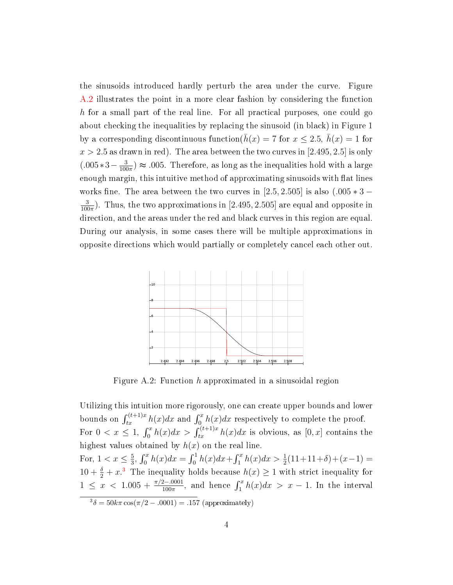the sinusoids introduced hardly perturb the area under the curve. Figure [A.2](#page-3-0) illustrates the point in a more clear fashion by considering the function h for a small part of the real line. For all practical purposes, one could go about checking the inequalities by replacing the sinusoid (in black) in Figure 1 by a corresponding discontinuous function( $\bar{h}(x) = 7$  for  $x \le 2.5$ ,  $\bar{h}(x) = 1$  for  $x > 2.5$  as drawn in red). The area between the two curves in [2.495, 2.5] is only  $(.005*3-\frac{3}{100})$  $\frac{3}{100\pi}$   $\approx$  .005. Therefore, as long as the inequalities hold with a large enough margin, this intuitive method of approximating sinusoids with flat lines works fine. The area between the two curves in [2.5, 2.505] is also  $(.005 * 3 -$ 3  $\frac{3}{100\pi}$ ). Thus, the two approximations in [2.495, 2.505] are equal and opposite in direction, and the areas under the red and black curves in this region are equal. During our analysis, in some cases there will be multiple approximations in opposite directions which would partially or completely cancel each other out.



<span id="page-3-0"></span>Figure A.2: Function  $h$  approximated in a sinusoidal region

<span id="page-3-1"></span>Utilizing this intuition more rigorously, one can create upper bounds and lower bounds on  $\int_{tx}^{(t+1)x} h(x)dx$  and  $\int_0^x h(x)dx$  respectively to complete the proof. For  $0 < x \leq 1$ ,  $\int_0^x h(x)dx > \int_{tx}^{(t+1)x} h(x)dx$  is obvious, as  $[0, x]$  contains the highest values obtained by  $h(x)$  on the real line. For,  $1 < x \leq \frac{5}{3}$  $\frac{5}{3}$ ,  $\int_0^x h(x)dx = \int_0^1 h(x)dx + \int_1^x h(x)dx > \frac{1}{2}(11+11+\delta)+(x-1) =$  $10 + \frac{\delta}{2} + x^3$  $10 + \frac{\delta}{2} + x^3$  The inequality holds because  $h(x) \ge 1$  with strict inequality for  $1 \leq x < 1.005 + \frac{\pi/2 - .0001}{100\pi}$ , and hence  $\int_1^x h(x) dx > x - 1$ . In the interval  $3\delta = 50k\pi \cos(\pi/2 - .0001) = .157$  (approximately)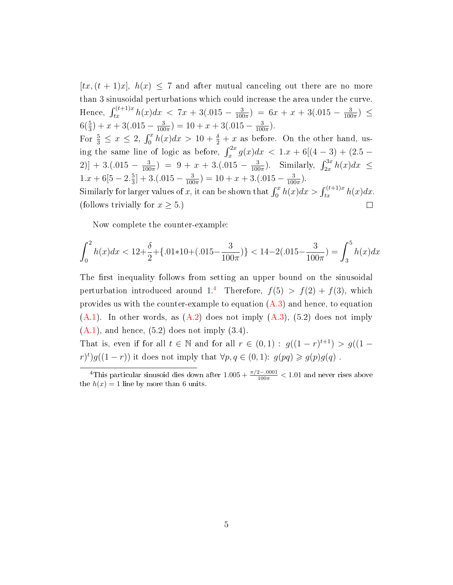$[tx,(t + 1)x]$ ,  $h(x) \leq 7$  and after mutual canceling out there are no more than 3 sinusoidal perturbations which could increase the area under the curve. Hence,  $\int_{tx}^{(t+1)x} h(x)dx$  < 7x + 3(.015 -  $\frac{3}{100}$  $\frac{3}{100\pi}$ ) = 6x + x + 3(.015 -  $\frac{3}{100}$  $\frac{3}{100\pi}) \leq$  $6(\frac{5}{3}) + x + 3(.015 - \frac{3}{100})$  $\frac{3}{100\pi}$ ) = 10 + x + 3(.015 -  $\frac{3}{100}$  $rac{3}{100\pi}$ . For  $\frac{5}{3} \leq x \leq 2$ ,  $\int_0^x h(x)dx > 10 + \frac{\delta}{2} + x$  as before. On the other hand, using the same line of logic as before,  $\int_x^{2x} g(x) dx < 1.x + 6[(4-3) + (2.5 \frac{3}{100\pi}$ ). Similarly,  $\int_{2x}^{3x} h(x)dx \le$  $2)] + 3.(015 - \frac{3}{100})$  $\frac{3}{100\pi}$ ) = 9 + x + 3.(.015 -  $\frac{3}{100}$  $1.x + 6[5 - 2.\frac{5}{3}]$  $\frac{5}{3}$ ] + 3.(.015 –  $\frac{3}{100}$  $\frac{3}{100\pi}$ ) = 10 + x + 3.(.015 -  $\frac{3}{100}$  $\frac{3}{100\pi}$ . Similarly for larger values of x, it can be shown that  $\int_0^x h(x)dx > \int_{tx}^{(t+1)x} h(x)dx$ . (follows trivially for  $x \geq 5$ .)  $\Box$ 

Now complete the counter-example:

$$
\int_0^2 h(x)dx < 12 + \frac{\delta}{2} + \{.01 \times 10 + (.015 - \frac{3}{100\pi})\} < 14 - 2(.015 - \frac{3}{100\pi}) = \int_3^5 h(x)dx
$$

The first inequality follows from setting an upper bound on the sinusoidal perturbation introduced around 1.<sup>[4](#page-4-0)</sup> Therefore,  $f(5) > f(2) + f(3)$ , which provides us with the counter-example to equation  $(A.3)$  and hence, to equation  $(A.1)$ . In other words, as  $(A.2)$  does not imply  $(A.3)$ ,  $(5.2)$  does not imply  $(A.1)$ , and hence,  $(5.2)$  does not imply  $(3.4)$ .

That is, even if for all  $t \in \mathbb{N}$  and for all  $r \in (0,1)$ :  $g((1-r)^{t+1}) > g((1-r)^{t+1})$  $(r)^t$ )g( $(1-r)$ ) it does not imply that  $\forall p, q \in (0,1)$ :  $g(pq) \geq g(p)g(q)$ .

<span id="page-4-0"></span><sup>&</sup>lt;sup>4</sup>This particular sinusoid dies down after  $1.005 + \frac{\pi/2 - .0001}{100\pi} < 1.01$  and never rises above the  $h(x) = 1$  line by more than 6 units.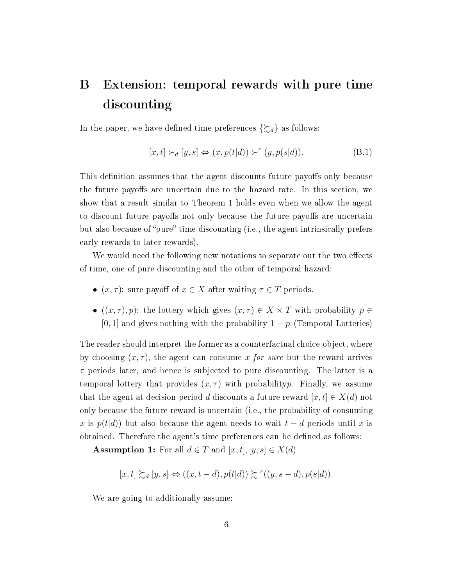## B Extension: temporal rewards with pure time discounting

In the paper, we have defined time preferences  $\{\gtrsim_d\}$  as follows:

$$
[x,t] \succ_d [y,s] \Leftrightarrow (x,p(t|d)) \succ^r (y,p(s|d)).
$$
\n(B.1)

This definition assumes that the agent discounts future payoffs only because the future payoffs are uncertain due to the hazard rate. In this section, we show that a result similar to Theorem 1 holds even when we allow the agent to discount future payoffs not only because the future payoffs are uncertain but also because of "pure" time discounting (i.e., the agent intrinsically prefers early rewards to later rewards).

We would need the following new notations to separate out the two effects of time, one of pure discounting and the other of temporal hazard:

- $(x, \tau)$ : sure payoff of  $x \in X$  after waiting  $\tau \in T$  periods.
- $((x, \tau), p)$ : the lottery which gives  $(x, \tau) \in X \times T$  with probability  $p \in$ [0, 1] and gives nothing with the probability  $1 - p$ . (Temporal Lotteries)

The reader should interpret the former as a counterfactual choice-object, where by choosing  $(x, \tau)$ , the agent can consume x for sure but the reward arrives  $\tau$  periods later, and hence is subjected to pure discounting. The latter is a temporal lottery that provides  $(x, \tau)$  with probabilityp. Finally, we assume that the agent at decision period d discounts a future reward  $[x, t] \in X(d)$  not only because the future reward is uncertain (i.e., the probability of consuming x is  $p(t|d)$  but also because the agent needs to wait  $t - d$  periods until x is obtained. Therefore the agent's time preferences can be defined as follows:

Assumption 1: For all  $d \in T$  and  $[x, t], [y, s] \in X(d)$ 

$$
[x,t] \succsim_d [y,s] \Leftrightarrow ((x,t-d), p(t|d)) \succsim^r ((y,s-d), p(s|d)).
$$

We are going to additionally assume: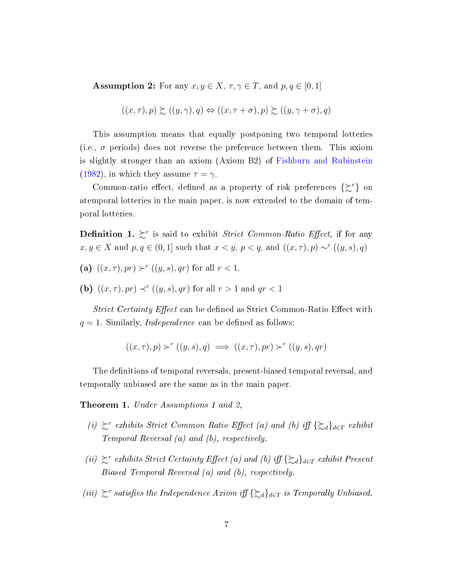**Assumption 2:** For any  $x, y \in X$ ,  $\tau, \gamma \in T$ , and  $p, q \in [0, 1]$ 

$$
((x,\tau),p) \succsim ((y,\gamma),q) \Leftrightarrow ((x,\tau+\sigma),p) \succsim ((y,\gamma+\sigma),q)
$$

This assumption means that equally postponing two temporal lotteries (i.e.,  $\sigma$  periods) does not reverse the preference between them. This axiom is slightly stronger than an axiom (Axiom B2) of [Fishburn and Rubinstein](#page-11-0) [\(1982\)](#page-11-0), in which they assume  $\tau = \gamma$ .

Common-ratio effect, defined as a property of risk preferences  $\{\xi^r\}$  on atemporal lotteries in the main paper, is now extended to the domain of temporal lotteries.

**Definition 1.**  $\sum^r$  is said to exhibit *Strict Common-Ratio Effect*, if for any  $x, y \in X$  and  $p, q \in (0, 1]$  such that  $x \leq y, p \leq q$ , and  $((x, \tau), p) \sim^r ((y, s), q)$ 

- (a)  $((x, \tau), pr) \succ^r ((y, s), qr)$  for all  $r < 1$ .
- (b)  $((x, \tau), pr) \prec^r ((y, s), qr)$  for all  $r > 1$  and  $qr < 1$

Strict Certainty Effect can be defined as Strict Common-Ratio Effect with  $q = 1$ . Similarly, *Independence* can be defined as follows:

$$
((x,\tau),p) \succ^r ((y,s),q) \implies ((x,\tau),pr) \succ^r ((y,s),qr)
$$

The definitions of temporal reversals, present-biased temporal reversal, and temporally unbiased are the same as in the main paper.

Theorem 1. Under Assumptions 1 and 2,

- (i)  $\succeq^r$  exhibits Strict Common Ratio Effect (a) and (b) iff { $\succeq_d$ }<sub>d∈T</sub> exhibit Temporal Reversal (a) and (b), respectively.
- (ii)  $\succeq^r$  exhibits Strict Certainty Effect (a) and (b) iff { $\succeq_d$ }<sub>d∈T</sub> exhibit Present Biased Temporal Reversal (a) and (b), respectively.
- (iii)  $\succeq^r$  satisfies the Independence Axiom iff { $\succeq_d$ }<sub>d∈T</sub> is Temporally Unbiased.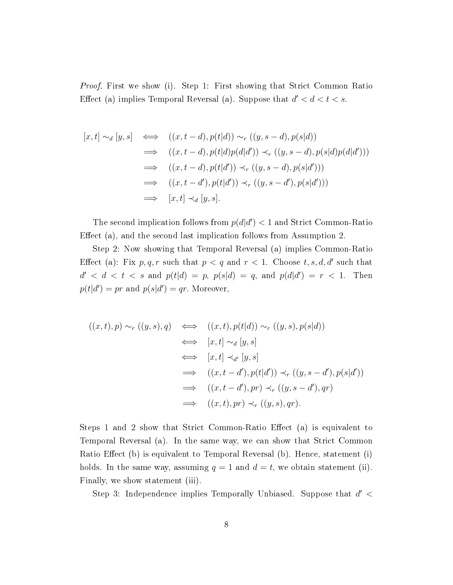*Proof.* First we show (i). Step 1: First showing that Strict Common Ratio Effect (a) implies Temporal Reversal (a). Suppose that  $d' < d < t < s$ .

$$
[x,t] \sim_d [y,s] \iff ((x,t-d), p(t|d)) \sim_r ((y,s-d), p(s|d))
$$
  
\n
$$
\implies ((x,t-d), p(t|d)p(d|d')) \prec_r ((y,s-d), p(s|d)p(d|d')))
$$
  
\n
$$
\implies ((x,t-d), p(t|d')) \prec_r ((y,s-d), p(s|d')))
$$
  
\n
$$
\implies ((x,t-d'), p(t|d')) \prec_r ((y,s-d'), p(s|d')))
$$
  
\n
$$
\implies [x,t] \prec_d [y,s].
$$

The second implication follows from  $p(d|d') < 1$  and Strict Common-Ratio Effect (a), and the second last implication follows from Assumption 2.

Step 2: Now showing that Temporal Reversal (a) implies Common-Ratio Effect (a): Fix  $p, q, r$  such that  $p < q$  and  $r < 1$ . Choose  $t, s, d, d'$  such that  $d' < d < t < s$  and  $p(t|d) = p$ ,  $p(s|d) = q$ , and  $p(d|d') = r < 1$ . Then  $p(t|d') = pr$  and  $p(s|d') = qr$ . Moreover,

$$
((x,t),p) \sim_r ((y,s),q) \iff ((x,t),p(t|d)) \sim_r ((y,s),p(s|d))
$$
  
\n
$$
\iff [x,t] \sim_d [y,s]
$$
  
\n
$$
\iff [(x,t] \prec_{d'} [y,s]
$$
  
\n
$$
\implies ((x,t-d'),p(t|d')) \prec_r ((y,s-d'),p(s|d'))
$$
  
\n
$$
\implies ((x,t-d'),pr) \prec_r ((y,s-d'),qr)
$$
  
\n
$$
\implies ((x,t),pr) \prec_r ((y,s),qr).
$$

Steps 1 and 2 show that Strict Common-Ratio Effect (a) is equivalent to Temporal Reversal (a). In the same way, we can show that Strict Common Ratio Effect (b) is equivalent to Temporal Reversal (b). Hence, statement (i) holds. In the same way, assuming  $q = 1$  and  $d = t$ , we obtain statement (ii). Finally, we show statement (iii).

Step 3: Independence implies Temporally Unbiased. Suppose that  $d' <$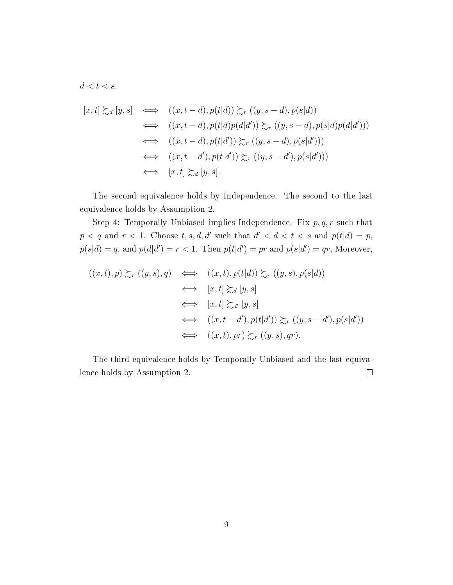$d < t < s$ .

$$
[x,t] \succsim_d [y,s] \iff ((x,t-d), p(t|d)) \succsim_r ((y,s-d), p(s|d))
$$
  
\n
$$
\iff ((x,t-d), p(t|d)p(d|d')) \succsim_r ((y,s-d), p(s|d)p(d|d')))
$$
  
\n
$$
\iff ((x,t-d), p(t|d')) \succsim_r ((y,s-d), p(s|d')))
$$
  
\n
$$
\iff ((x,t-d'), p(t|d')) \succsim_r ((y,s-d'), p(s|d')))
$$
  
\n
$$
\iff [x,t] \succsim_d [y,s].
$$

The second equivalence holds by Independence. The second to the last equivalence holds by Assumption 2.

Step 4: Temporally Unbiased implies Independence. Fix  $p, q, r$  such that  $p < q$  and  $r < 1$ . Choose  $t, s, d, d'$  such that  $d' < d < t < s$  and  $p(t|d) = p$ ,  $p(s|d) = q$ , and  $p(d|d') = r < 1$ . Then  $p(t|d') = pr$  and  $p(s|d') = qr$ , Moreover,

$$
((x,t),p) \succsim_{r} ((y,s),q) \iff ((x,t),p(t|d)) \succsim_{r} ((y,s),p(s|d))
$$
  
\n
$$
\iff [x,t] \succsim_{d} [y,s]
$$
  
\n
$$
\iff ((x,t-d'),p(t|d')) \succsim_{r} ((y,s-d'),p(s|d'))
$$
  
\n
$$
\iff ((x,t)-d'),p(t|d')) \succsim_{r} ((y,s),qr).
$$

The third equivalence holds by Temporally Unbiased and the last equivalence holds by Assumption 2.  $\Box$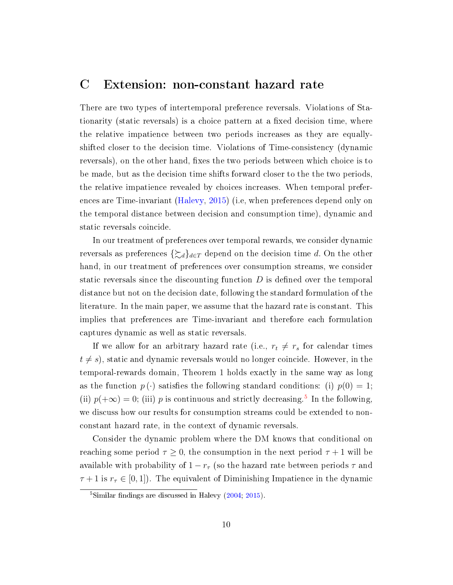#### C Extension: non-constant hazard rate

There are two types of intertemporal preference reversals. Violations of Stationarity (static reversals) is a choice pattern at a fixed decision time, where the relative impatience between two periods increases as they are equallyshifted closer to the decision time. Violations of Time-consistency (dynamic reversals), on the other hand, fixes the two periods between which choice is to be made, but as the decision time shifts forward closer to the the two periods, the relative impatience revealed by choices increases. When temporal preferences are Time-invariant [\(Halevy,](#page-11-1) [2015\)](#page-11-1) (i.e, when preferences depend only on the temporal distance between decision and consumption time), dynamic and static reversals coincide.

In our treatment of preferences over temporal rewards, we consider dynamic reversals as preferences  $\{\gtrsim_d\}_{d\in\mathcal{I}}$  depend on the decision time d. On the other hand, in our treatment of preferences over consumption streams, we consider static reversals since the discounting function  $D$  is defined over the temporal distance but not on the decision date, following the standard formulation of the literature. In the main paper, we assume that the hazard rate is constant. This implies that preferences are Time-invariant and therefore each formulation captures dynamic as well as static reversals.

If we allow for an arbitrary hazard rate (i.e.,  $r_t \neq r_s$  for calendar times  $t \neq s$ , static and dynamic reversals would no longer coincide. However, in the temporal-rewards domain, Theorem 1 holds exactly in the same way as long as the function  $p(\cdot)$  satisfies the following standard conditions: (i)  $p(0) = 1$ ; (ii)  $p(+\infty) = 0$ ; (iii) p is continuous and strictly decreasing.<sup>[5](#page-9-0)</sup> In the following, we discuss how our results for consumption streams could be extended to nonconstant hazard rate, in the context of dynamic reversals.

Consider the dynamic problem where the DM knows that conditional on reaching some period  $\tau \geq 0$ , the consumption in the next period  $\tau + 1$  will be available with probability of  $1 - r_{\tau}$  (so the hazard rate between periods  $\tau$  and  $\tau + 1$  is  $r_{\tau} \in [0, 1]$ ). The equivalent of Diminishing Impatience in the dynamic

<span id="page-9-0"></span> ${}^{5}$ Similar findings are discussed in Halevy [\(2004;](#page-11-2) [2015\)](#page-11-1).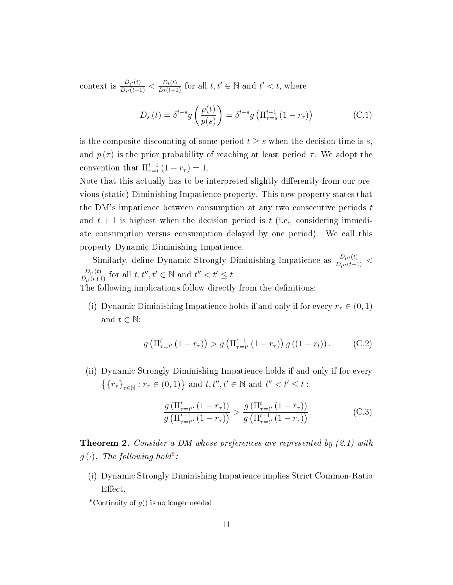context is  $\frac{D_{t'}(t)}{D_{t'}(t+1)}$  $\frac{D_{t'}(t)}{D_{t'}(t+1)} < \frac{D_t(t)}{D_t(t+1)}$  for all  $t, t' \in \mathbb{N}$  and  $t' < t$ , where

$$
D_s(t) = \delta^{t-s} g\left(\frac{p(t)}{p(s)}\right) = \delta^{t-s} g\left(\Pi_{\tau=s}^{t-1} (1 - r_\tau)\right)
$$
 (C.1)

is the composite discounting of some period  $t \geq s$  when the decision time is s, and  $p(\tau)$  is the prior probability of reaching at least period  $\tau$ . We adopt the convention that  $\Pi_{\tau=t}^{t-1}(1-r_{\tau})=1$ .

Note that this actually has to be interpreted slightly differently from our previous (static) Diminishing Impatience property. This new property states that the DM's impatience between consumption at any two consecutive periods  $t$ and  $t + 1$  is highest when the decision period is t (i.e., considering immediate consumption versus consumption delayed by one period). We call this property Dynamic Diminishing Impatience.

Similarly, define Dynamic Strongly Diminishing Impatience as  $\frac{D_{t''}(t)}{D_{t''}(t+1)}$  $\frac{D_{t''}(t)}{D_{t''}(t+1)}$  <  $D_{t'}(t)$  $\frac{D_{t'}(t)}{D_{t'}(t+1)}$  for all  $t, t'', t' \in \mathbb{N}$  and  $t'' < t' \leq t$ .

The following implications follow directly from the definitions:

(i) Dynamic Diminishing Impatience holds if and only if for every  $r_\tau \in (0,1)$ and  $t \in \mathbb{N}$ :

$$
g\left(\Pi_{\tau=t'}^{t}\left(1-r_{\tau}\right)\right) > g\left(\Pi_{\tau=t'}^{t-1}\left(1-r_{\tau}\right)\right)g\left(\left(1-r_{t}\right)\right). \tag{C.2}
$$

(ii) Dynamic Strongly Diminishing Impatience holds if and only if for every  $\{\{r_\tau\}_{\tau\in\mathbb{N}}: r_\tau\in(0,1)\}$  and  $t,t'',t'\in\mathbb{N}$  and  $t''< t'\leq t$ :

$$
\frac{g\left(\prod_{\tau=t''}^{t}\left(1-r_{\tau}\right)\right)}{g\left(\prod_{\tau=t''}^{t-1}\left(1-r_{\tau}\right)\right)} > \frac{g\left(\prod_{\tau=t'}^{t}\left(1-r_{\tau}\right)\right)}{g\left(\prod_{\tau=t'}^{t-1}\left(1-r_{\tau}\right)\right)}.
$$
\n(C.3)

**Theorem 2.** Consider a DM whose preferences are represented by  $(2.1)$  with  $g(\cdot)$ . The following hold<sup>[6](#page-10-0)</sup>:

(i) Dynamic Strongly Diminishing Impatience implies Strict Common-Ratio Effect.

<span id="page-10-0"></span><sup>&</sup>lt;sup>6</sup>Continuity of  $g()$  is no longer needed